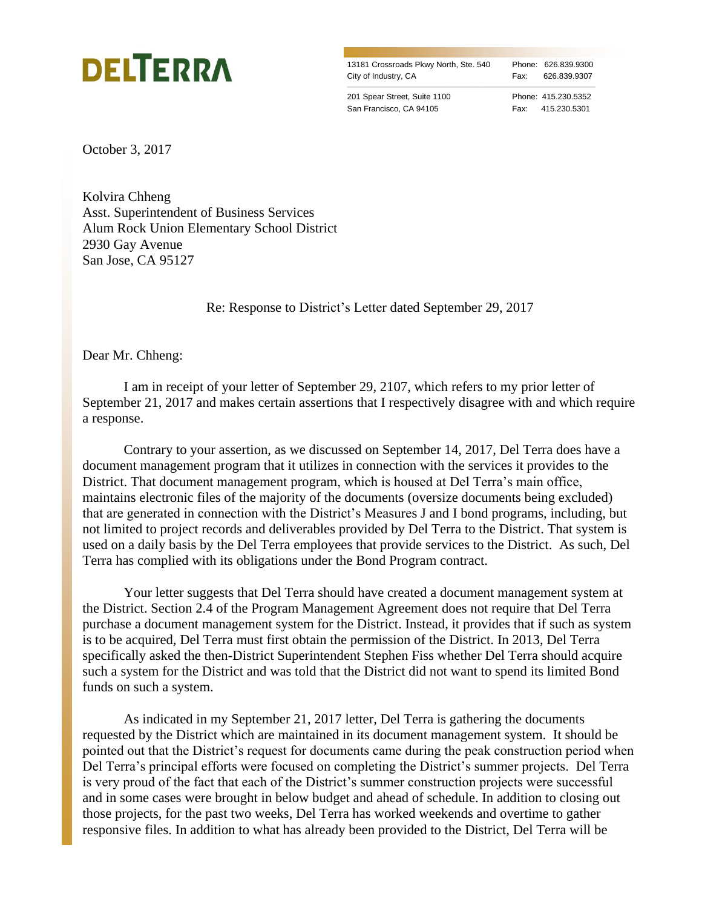

13181 Crossroads Pkwy North, Ste. 540 Phone: 626.839.9300 City of Industry, CA Fax: 626.839.9307

\_\_\_\_\_\_\_\_\_\_\_\_\_\_\_\_\_\_\_\_\_\_\_\_\_\_\_\_\_\_\_\_\_\_\_\_\_\_\_\_\_\_\_\_\_\_\_\_\_\_\_\_\_\_\_\_\_\_\_\_\_\_\_\_\_\_\_\_\_\_\_\_\_\_\_\_\_\_\_\_\_\_\_\_\_\_\_\_\_\_\_\_\_\_\_\_\_\_\_\_\_\_\_\_\_\_\_\_\_\_\_\_\_\_\_\_\_\_\_\_\_\_\_\_\_\_\_\_\_\_

201 Spear Street, Suite 1100 Phone: 415.230.5352 San Francisco, CA 94105 Fax: 415.230.5301

October 3, 2017

Kolvira Chheng Asst. Superintendent of Business Services Alum Rock Union Elementary School District 2930 Gay Avenue San Jose, CA 95127

Re: Response to District's Letter dated September 29, 2017

Dear Mr. Chheng:

I am in receipt of your letter of September 29, 2107, which refers to my prior letter of September 21, 2017 and makes certain assertions that I respectively disagree with and which require a response.

Contrary to your assertion, as we discussed on September 14, 2017, Del Terra does have a document management program that it utilizes in connection with the services it provides to the District. That document management program, which is housed at Del Terra's main office, maintains electronic files of the majority of the documents (oversize documents being excluded) that are generated in connection with the District's Measures J and I bond programs, including, but not limited to project records and deliverables provided by Del Terra to the District. That system is used on a daily basis by the Del Terra employees that provide services to the District. As such, Del Terra has complied with its obligations under the Bond Program contract.

Your letter suggests that Del Terra should have created a document management system at the District. Section 2.4 of the Program Management Agreement does not require that Del Terra purchase a document management system for the District. Instead, it provides that if such as system is to be acquired, Del Terra must first obtain the permission of the District. In 2013, Del Terra specifically asked the then-District Superintendent Stephen Fiss whether Del Terra should acquire such a system for the District and was told that the District did not want to spend its limited Bond funds on such a system.

As indicated in my September 21, 2017 letter, Del Terra is gathering the documents requested by the District which are maintained in its document management system. It should be pointed out that the District's request for documents came during the peak construction period when Del Terra's principal efforts were focused on completing the District's summer projects. Del Terra is very proud of the fact that each of the District's summer construction projects were successful and in some cases were brought in below budget and ahead of schedule. In addition to closing out those projects, for the past two weeks, Del Terra has worked weekends and overtime to gather responsive files. In addition to what has already been provided to the District, Del Terra will be